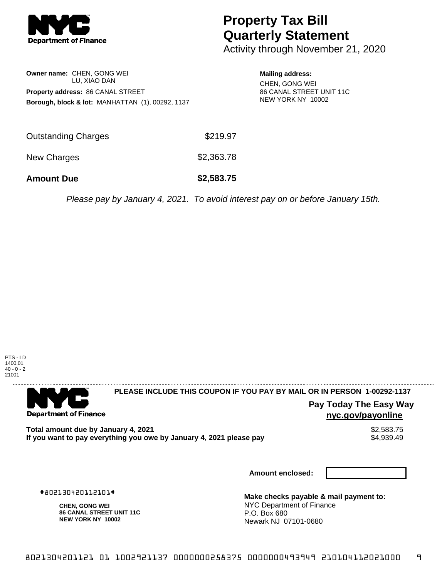

# **Property Tax Bill Quarterly Statement**

Activity through November 21, 2020

## **Owner name:** CHEN, GONG WEI LU, XIAO DAN **Property address:** 86 CANAL STREET **Borough, block & lot:** MANHATTAN (1), 00292, 1137

## **Mailing address:**

CHEN, GONG WEI 86 CANAL STREET UNIT 11C NEW YORK NY 10002

| <b>Amount Due</b>   | \$2,583.75 |
|---------------------|------------|
| New Charges         | \$2,363.78 |
| Outstanding Charges | \$219.97   |

Please pay by January 4, 2021. To avoid interest pay on or before January 15th.



. . . . . . . . . . . . . . . .

#### 

**Department of Finance** 

**PLEASE INCLUDE THIS COUPON IF YOU PAY BY MAIL OR IN PERSON 1-00292-1137** 

# **Pay Today The Easy Way nyc.gov/payonline**

**Total amount due by January 4, 2021**<br>If you want to pay everything you owe by January 4, 2021 please pay **show that the summary of the S4,939.49** If you want to pay everything you owe by January 4, 2021 please pay

**Amount enclosed:**

#802130420112101#

**CHEN, GONG WEI 86 CANAL STREET UNIT 11C NEW YORK NY 10002**

**Make checks payable & mail payment to:** NYC Department of Finance P.O. Box 680 Newark NJ 07101-0680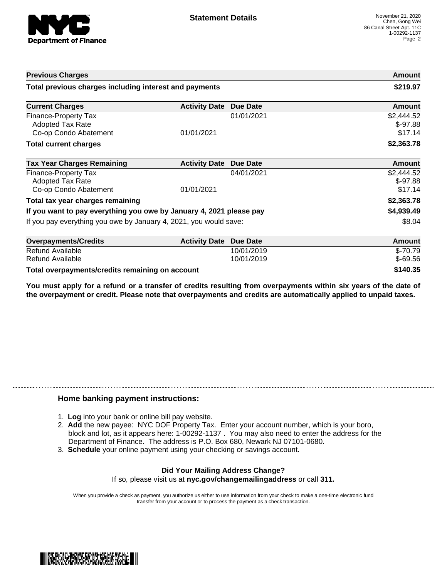

| <b>Previous Charges</b>                                                         |                      |                 | Amount                             |
|---------------------------------------------------------------------------------|----------------------|-----------------|------------------------------------|
| Total previous charges including interest and payments                          |                      | \$219.97        |                                    |
| <b>Current Charges</b>                                                          | <b>Activity Date</b> | <b>Due Date</b> | Amount                             |
| <b>Finance-Property Tax</b><br><b>Adopted Tax Rate</b><br>Co-op Condo Abatement | 01/01/2021           | 01/01/2021      | \$2,444.52<br>$$-97.88$<br>\$17.14 |
| <b>Total current charges</b>                                                    |                      |                 | \$2,363.78                         |
| <b>Tax Year Charges Remaining</b>                                               | <b>Activity Date</b> | <b>Due Date</b> | <b>Amount</b>                      |
| <b>Finance-Property Tax</b><br><b>Adopted Tax Rate</b><br>Co-op Condo Abatement | 01/01/2021           | 04/01/2021      | \$2,444.52<br>$$-97.88$<br>\$17.14 |
| Total tax year charges remaining                                                |                      |                 | \$2,363.78                         |
| If you want to pay everything you owe by January 4, 2021 please pay             |                      |                 | \$4,939.49                         |
| If you pay everything you owe by January 4, 2021, you would save:               |                      | \$8.04          |                                    |
| <b>Overpayments/Credits</b>                                                     | <b>Activity Date</b> | <b>Due Date</b> | Amount                             |
| Refund Available                                                                |                      | 10/01/2019      | $$-70.79$                          |
| Refund Available                                                                |                      | 10/01/2019      | $$-69.56$                          |

**Total overpayments/credits remaining on account \$140.35**

You must apply for a refund or a transfer of credits resulting from overpayments within six years of the date of **the overpayment or credit. Please note that overpayments and credits are automatically applied to unpaid taxes.**

#### **Home banking payment instructions:**

- 1. **Log** into your bank or online bill pay website.
- 2. **Add** the new payee: NYC DOF Property Tax. Enter your account number, which is your boro, block and lot, as it appears here: 1-00292-1137 . You may also need to enter the address for the Department of Finance. The address is P.O. Box 680, Newark NJ 07101-0680.
- 3. **Schedule** your online payment using your checking or savings account.

#### **Did Your Mailing Address Change?** If so, please visit us at **nyc.gov/changemailingaddress** or call **311.**

When you provide a check as payment, you authorize us either to use information from your check to make a one-time electronic fund transfer from your account or to process the payment as a check transaction.